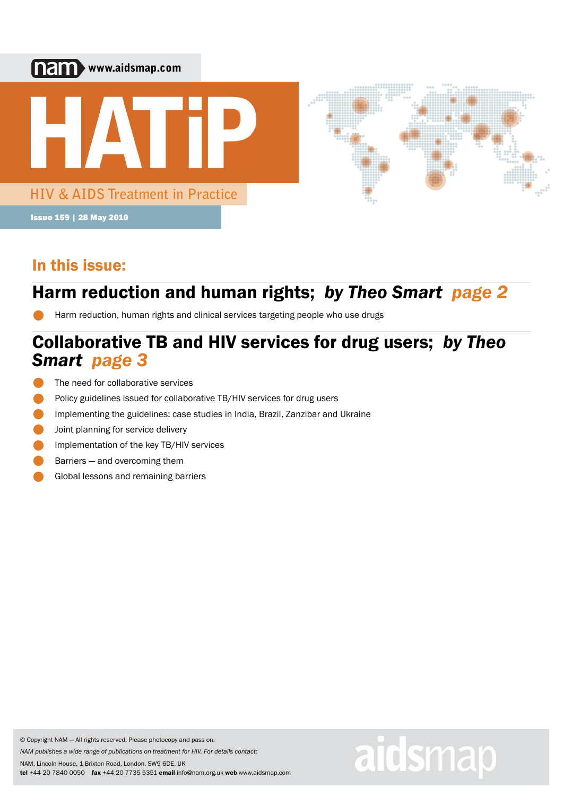

# In this issue:

# Harm reduction and human rights; *by Theo Smart page 2* •

Harm reduction, human rights and clinical services targeting people who use drugs

# *Smart page 3* Collaborative TB and HIV services for drug users; *by Theo*

aidsmap

- •<br>• The need for collaborative services
- Policy guidelines issued for collaborative TB/HIV services for drug users
- **•**<br>• **•**<br>• Implementing the guidelines: case studies in India, Brazil, Zanzibar and Ukraine
- **•**<br>• Joint planning for service delivery
- **•**<br>• Implementation of the key TB/HIV services
- **•**<br>• Barriers — and overcoming them
- Global lessons and remaining barriers

© Copyright NAM — All rights reserved. Please photocopy and pass on.

*NAM publishes a wide range of publications on treatment for HIV. For details contact:*

NAM, Lincoln House, 1 Brixton Road, London, SW9 6DE, UK tel +44 20 7840 0050 fax +44 20 7735 5351 email info@nam.org.uk web www.aidsmap.com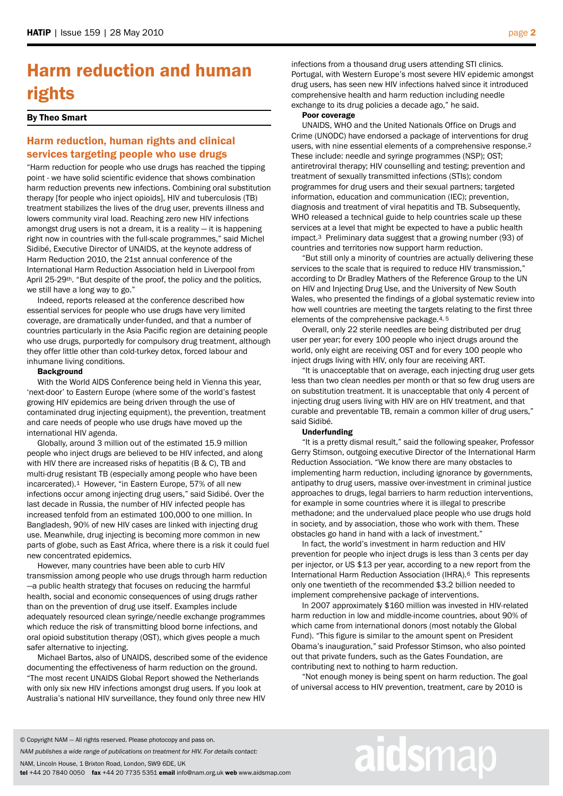# Harm reduction and human rights

### By Theo Smart

# Harm reduction, human rights and clinical services targeting people who use drugs

"Harm reduction for people who use drugs has reached the tipping point - we have solid scientific evidence that shows combination harm reduction prevents new infections. Combining oral substitution therapy [for people who inject opioids], HIV and tuberculosis (TB) treatment stabilizes the lives of the drug user, prevents illness and lowers community viral load. Reaching zero new HIV infections amongst drug users is not a dream, it is a reality — it is happening right now in countries with the full-scale programmes," said Michel Sidibé, Executive Director of UNAIDS, at the keynote address of Harm Reduction 2010, the 21st annual conference of the International Harm Reduction Association held in Liverpool from April 25-29th. "But despite of the proof, the policy and the politics, we still have a long way to go."

 Indeed, reports released at the conference described how essential services for people who use drugs have very limited coverage, are dramatically under-funded, and that a number of countries particularly in the Asia Pacific region are detaining people who use drugs, purportedly for compulsory drug treatment, although they offer little other than cold-turkey detox, forced labour and inhumane living conditions.

#### **Background**

 With the World AIDS Conference being held in Vienna this year, 'next-door' to Eastern Europe (where some of the world's fastest growing HIV epidemics are being driven through the use of contaminated drug injecting equipment), the prevention, treatment and care needs of people who use drugs have moved up the international HIV agenda.

 Globally, around 3 million out of the estimated 15.9 million people who inject drugs are believed to be HIV infected, and along with HIV there are increased risks of hepatitis (B & C), TB and multi-drug resistant TB (especially among people who have been incarcerated).1 However, "in Eastern Europe, 57% of all new infections occur among injecting drug users," said Sidibé. Over the last decade in Russia, the number of HIV infected people has increased tenfold from an estimated 100,000 to one million. In Bangladesh, 90% of new HIV cases are linked with injecting drug use. Meanwhile, drug injecting is becoming more common in new parts of globe, such as East Africa, where there is a risk it could fuel new concentrated epidemics.

 However, many countries have been able to curb HIV transmission among people who use drugs through harm reduction —a public health strategy that focuses on reducing the harmful health, social and economic consequences of using drugs rather than on the prevention of drug use itself. Examples include adequately resourced clean syringe/needle exchange programmes which reduce the risk of transmitting blood borne infections, and oral opioid substitution therapy (OST), which gives people a much safer alternative to injecting.

 Michael Bartos, also of UNAIDS, described some of the evidence documenting the effectiveness of harm reduction on the ground. "The most recent UNAIDS Global Report showed the Netherlands with only six new HIV infections amongst drug users. If you look at Australia's national HIV surveillance, they found only three new HIV

infections from a thousand drug users attending STI clinics. Portugal, with Western Europe's most severe HIV epidemic amongst drug users, has seen new HIV infections halved since it introduced comprehensive health and harm reduction including needle exchange to its drug policies a decade ago," he said.

#### Poor coverage

 UNAIDS, WHO and the United Nationals Office on Drugs and Crime (UNODC) have endorsed a package of interventions for drug users, with nine essential elements of a comprehensive response.<sup>2</sup> These include: needle and syringe programmes (NSP); OST; antiretroviral therapy; HIV counselling and testing; prevention and treatment of sexually transmitted infections (STIs); condom programmes for drug users and their sexual partners; targeted information, education and communication (IEC); prevention, diagnosis and treatment of viral hepatitis and TB. Subsequently, WHO released a technical guide to help countries scale up these services at a level that might be expected to have a public health impact.3 Preliminary data suggest that a growing number (93) of countries and territories now support harm reduction.

 "But still only a minority of countries are actually delivering these services to the scale that is required to reduce HIV transmission," according to Dr Bradley Mathers of the Reference Group to the UN on HIV and Injecting Drug Use, and the University of New South Wales, who presented the findings of a global systematic review into how well countries are meeting the targets relating to the first three elements of the comprehensive package.4, 5

 Overall, only 22 sterile needles are being distributed per drug user per year; for every 100 people who inject drugs around the world, only eight are receiving OST and for every 100 people who inject drugs living with HIV, only four are receiving ART.

 "It is unacceptable that on average, each injecting drug user gets less than two clean needles per month or that so few drug users are on substitution treatment. It is unacceptable that only 4 percent of injecting drug users living with HIV are on HIV treatment, and that curable and preventable TB, remain a common killer of drug users," said Sidibé.

### Underfunding

 "It is a pretty dismal result," said the following speaker, Professor Gerry Stimson, outgoing executive Director of the International Harm Reduction Association. "We know there are many obstacles to implementing harm reduction, including ignorance by governments, antipathy to drug users, massive over-investment in criminal justice approaches to drugs, legal barriers to harm reduction interventions, for example in some countries where it is illegal to prescribe methadone; and the undervalued place people who use drugs hold in society, and by association, those who work with them. These obstacles go hand in hand with a lack of investment."

 In fact, the world's investment in harm reduction and HIV prevention for people who inject drugs is less than 3 cents per day per injector, or US \$13 per year, according to a new report from the International Harm Reduction Association (IHRA).6 This represents only one twentieth of the recommended \$3.2 billion needed to implement comprehensive package of interventions.

 In 2007 approximately \$160 million was invested in HIV-related harm reduction in low and middle-income countries, about 90% of which came from international donors (most notably the Global Fund). "This figure is similar to the amount spent on President Obama's inauguration," said Professor Stimson, who also pointed out that private funders, such as the Gates Foundation, are contributing next to nothing to harm reduction.

 "Not enough money is being spent on harm reduction. The goal of universal access to HIV prevention, treatment, care by 2010 is

# aidsmap

*NAM publishes a wide range of publications on treatment for HIV. For details contact:*

NAM, Lincoln House, 1 Brixton Road, London, SW9 6DE, UK

<sup>©</sup> Copyright NAM — All rights reserved. Please photocopy and pass on.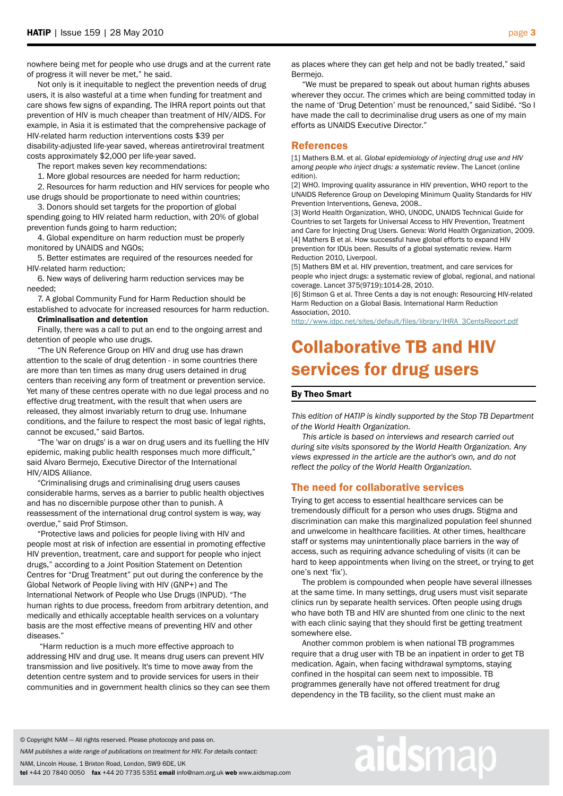nowhere being met for people who use drugs and at the current rate of progress it will never be met," he said.

 Not only is it inequitable to neglect the prevention needs of drug users, it is also wasteful at a time when funding for treatment and care shows few signs of expanding. The IHRA report points out that prevention of HIV is much cheaper than treatment of HIV/AIDS. For example, in Asia it is estimated that the comprehensive package of HIV-related harm reduction interventions costs \$39 per disability-adjusted life-year saved, whereas antiretroviral treatment

costs approximately \$2,000 per life-year saved.

The report makes seven key recommendations:

1. More global resources are needed for harm reduction;

 2. Resources for harm reduction and HIV services for people who use drugs should be proportionate to need within countries;

 3. Donors should set targets for the proportion of global spending going to HIV related harm reduction, with 20% of global prevention funds going to harm reduction;

 4. Global expenditure on harm reduction must be properly monitored by UNAIDS and NGOs;

 5. Better estimates are required of the resources needed for HIV-related harm reduction;

 6. New ways of delivering harm reduction services may be needed;

 7. A global Community Fund for Harm Reduction should be established to advocate for increased resources for harm reduction.

#### Criminalisation and detention

 Finally, there was a call to put an end to the ongoing arrest and detention of people who use drugs.

 "The UN Reference Group on HIV and drug use has drawn attention to the scale of drug detention - in some countries there are more than ten times as many drug users detained in drug centers than receiving any form of treatment or prevention service. Yet many of these centres operate with no due legal process and no effective drug treatment, with the result that when users are released, they almost invariably return to drug use. Inhumane conditions, and the failure to respect the most basic of legal rights, cannot be excused," said Bartos.

 "The 'war on drugs' is a war on drug users and its fuelling the HIV epidemic, making public health responses much more difficult," said Alvaro Bermejo, Executive Director of the International HIV/AIDS Alliance.

 "Criminalising drugs and criminalising drug users causes considerable harms, serves as a barrier to public health objectives and has no discernible purpose other than to punish. A reassessment of the international drug control system is way, way overdue," said Prof Stimson.

 "Protective laws and policies for people living with HIV and people most at risk of infection are essential in promoting effective HIV prevention, treatment, care and support for people who inject drugs," according to a Joint Position Statement on Detention Centres for "Drug Treatment" put out during the conference by the Global Network of People living with HIV (GNP+) and The International Network of People who Use Drugs (INPUD). "The human rights to due process, freedom from arbitrary detention, and medically and ethically acceptable health services on a voluntary basis are the most effective means of preventing HIV and other diseases."

 "Harm reduction is a much more effective approach to addressing HIV and drug use. It means drug users can prevent HIV transmission and live positively. It's time to move away from the detention centre system and to provide services for users in their communities and in government health clinics so they can see them as places where they can get help and not be badly treated," said Bermejo.

 "We must be prepared to speak out about human rights abuses wherever they occur. The crimes which are being committed today in the name of 'Drug Detention' must be renounced," said Sidibé. "So I have made the call to decriminalise drug users as one of my main efforts as UNAIDS Executive Director."

# References

[1] Mathers B.M. et al. *Global epidemiology of injecting drug use and HIV among people who inject drugs: a systematic review*. The Lancet (online edition).

[2] WHO. Improving quality assurance in HIV prevention, WHO report to the UNAIDS Reference Group on Developing Minimum Quality Standards for HIV Prevention Interventions, Geneva, 2008..

[3] World Health Organization, WHO, UNODC, UNAIDS Technical Guide for Countries to set Targets for Universal Access to HIV Prevention, Treatment and Care for Injecting Drug Users. Geneva: World Health Organization, 2009. [4] Mathers B et al. How successful have global efforts to expand HIV prevention for IDUs been. Results of a global systematic review. Harm Reduction 2010, Liverpool.

[5] Mathers BM et al. HIV prevention, treatment, and care services for people who inject drugs: a systematic review of global, regional, and national coverage. Lancet 375(9719):1014-28, 2010.

[6] Stimson G et al. Three Cents a day is not enough: Resourcing HIV-related Harm Reduction on a Global Basis. International Harm Reduction Association, 2010.

[http://www.idpc.net/sites/default/files/library/IHRA\\_3CentsReport.pdf](http://www.idpc.net/sites/default/files/library/IHRA_3CentsReport.pdf)

# Collaborative TB and HIV services for drug users

## By Theo Smart

*This edition of HATIP is kindly supported by the Stop TB Department of the World Health Organization.*

 *This article is based on interviews and research carried out during site visits sponsored by the World Health Organization. Any views expressed in the article are the author's own, and do not reflect the policy of the World Health Organization.*

# The need for collaborative services

Trying to get access to essential healthcare services can be tremendously difficult for a person who uses drugs. Stigma and discrimination can make this marginalized population feel shunned and unwelcome in healthcare facilities. At other times, healthcare staff or systems may unintentionally place barriers in the way of access, such as requiring advance scheduling of visits (it can be hard to keep appointments when living on the street, or trying to get one's next 'fix').

 The problem is compounded when people have several illnesses at the same time. In many settings, drug users must visit separate clinics run by separate health services. Often people using drugs who have both TB and HIV are shunted from one clinic to the next with each clinic saying that they should first be getting treatment somewhere else.

 Another common problem is when national TB programmes require that a drug user with TB be an inpatient in order to get TB medication. Again, when facing withdrawal symptoms, staying confined in the hospital can seem next to impossible. TB programmes generally have not offered treatment for drug dependency in the TB facility, so the client must make an

#### © Copyright NAM — All rights reserved. Please photocopy and pass on.

*NAM publishes a wide range of publications on treatment for HIV. For details contact:*

NAM, Lincoln House, 1 Brixton Road, London, SW9 6DE, UK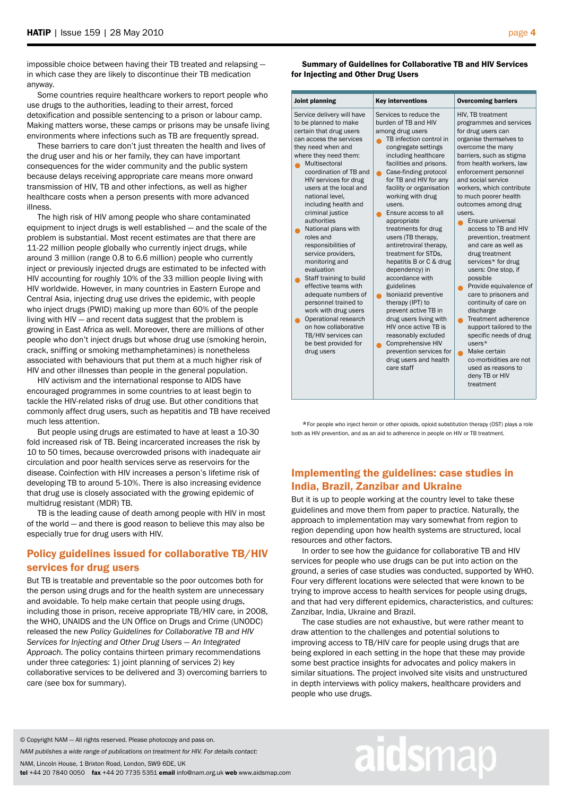impossible choice between having their TB treated and relapsing in which case they are likely to discontinue their TB medication anyway.

 Some countries require healthcare workers to report people who use drugs to the authorities, leading to their arrest, forced detoxification and possible sentencing to a prison or labour camp. Making matters worse, these camps or prisons may be unsafe living environments where infections such as TB are frequently spread.

 These barriers to care don't just threaten the health and lives of the drug user and his or her family, they can have important consequences for the wider community and the public system because delays receiving appropriate care means more onward transmission of HIV, TB and other infections, as well as higher healthcare costs when a person presents with more advanced illness.

 The high risk of HIV among people who share contaminated equipment to inject drugs is well established — and the scale of the problem is substantial. Most recent estimates are that there are 11-22 million people globally who currently inject drugs, while around 3 million (range 0.8 to 6.6 million) people who currently inject or previously injected drugs are estimated to be infected with HIV accounting for roughly 10% of the 33 million people living with HIV worldwide. However, in many countries in Eastern Europe and Central Asia, injecting drug use drives the epidemic, with people who inject drugs (PWID) making up more than 60% of the people living with HIV — and recent data suggest that the problem is growing in East Africa as well. Moreover, there are millions of other people who don't inject drugs but whose drug use (smoking heroin, crack, sniffing or smoking methamphetamines) is nonetheless associated with behaviours that put them at a much higher risk of HIV and other illnesses than people in the general population.

 HIV activism and the international response to AIDS have encouraged programmes in some countries to at least begin to tackle the HIV-related risks of drug use. But other conditions that commonly affect drug users, such as hepatitis and TB have received much less attention.

 But people using drugs are estimated to have at least a 10-30 fold increased risk of TB. Being incarcerated increases the risk by 10 to 50 times, because overcrowded prisons with inadequate air circulation and poor health services serve as reservoirs for the disease. Coinfection with HIV increases a person's lifetime risk of developing TB to around 5-10%. There is also increasing evidence that drug use is closely associated with the growing epidemic of multidrug resistant (MDR) TB.

 TB is the leading cause of death among people with HIV in most of the world — and there is good reason to believe this may also be especially true for drug users with HIV.

# Policy guidelines issued for collaborative TB/HIV services for drug users

But TB is treatable and preventable so the poor outcomes both for the person using drugs and for the health system are unnecessary and avoidable. To help make certain that people using drugs, including those in prison, receive appropriate TB/HIV care, in 2008, the WHO, UNAIDS and the UN Office on Drugs and Crime (UNODC) released the new *Policy Guidelines for Collaborative TB and HIV Services for Injecting and Other Drug Users — An Integrated Approach.* The policy contains thirteen primary recommendations under three categories: 1) joint planning of services 2) key collaborative services to be delivered and 3) overcoming barriers to care (see box for summary).

 Summary of Guidelines for Collaborative TB and HIV Services for Injecting and Other Drug Users

| Joint planning                                                                                                                                                                                                                                                                                                                                                                                                                                                                                                                                                                                                                                                                               | <b>Key interventions</b>                                                                                                                                                                                                                                                                                                                                                                                                                                                                                                                                                                                                                                                                                                                              | <b>Overcoming barriers</b>                                                                                                                                                                                                                                                                                                                                                                                                                                                                                                                                                                                                                                                                                                                                             |
|----------------------------------------------------------------------------------------------------------------------------------------------------------------------------------------------------------------------------------------------------------------------------------------------------------------------------------------------------------------------------------------------------------------------------------------------------------------------------------------------------------------------------------------------------------------------------------------------------------------------------------------------------------------------------------------------|-------------------------------------------------------------------------------------------------------------------------------------------------------------------------------------------------------------------------------------------------------------------------------------------------------------------------------------------------------------------------------------------------------------------------------------------------------------------------------------------------------------------------------------------------------------------------------------------------------------------------------------------------------------------------------------------------------------------------------------------------------|------------------------------------------------------------------------------------------------------------------------------------------------------------------------------------------------------------------------------------------------------------------------------------------------------------------------------------------------------------------------------------------------------------------------------------------------------------------------------------------------------------------------------------------------------------------------------------------------------------------------------------------------------------------------------------------------------------------------------------------------------------------------|
| Service delivery will have<br>to be planned to make<br>certain that drug users<br>can access the services<br>they need when and<br>where they need them:<br>Multisectoral<br>coordination of TB and<br>HIV services for drug<br>users at the local and<br>national level.<br>including health and<br>criminal justice<br>authorities<br>National plans with<br>roles and<br>responsibilities of<br>service providers.<br>monitoring and<br>evaluation<br>Staff training to build<br>effective teams with<br>adequate numbers of<br>personnel trained to<br>work with drug users<br>Operational research<br>on how collaborative<br>TB/HIV services can<br>be best provided for<br>drug users | Services to reduce the<br>burden of TB and HIV<br>among drug users<br>TB infection control in<br>congregate settings<br>including healthcare<br>facilities and prisons.<br>Case-finding protocol<br>for TB and HIV for any<br>facility or organisation<br>working with drug<br>users.<br>Ensure access to all<br>appropriate<br>treatments for drug<br>users (TB therapy,<br>antiretroviral therapy.<br>treatment for STDs,<br>hepatitis B or C & drug<br>dependency) in<br>accordance with<br>guidelines<br>Isoniazid preventive<br>therapy (IPT) to<br>prevent active TB in<br>drug users living with<br>HIV once active TB is<br>reasonably excluded<br><b>Comprehensive HIV</b><br>prevention services for<br>drug users and health<br>care staff | HIV, TB treatment<br>programmes and services<br>for drug users can<br>organise themselves to<br>overcome the many<br>barriers, such as stigma<br>from health workers, law<br>enforcement personnel<br>and social service<br>workers, which contribute<br>to much poorer health<br>outcomes among drug<br>users.<br>Ensure universal<br>access to TB and HIV<br>prevention, treatment<br>and care as well as<br>drug treatment<br>services* for drug<br>users: One stop, if<br>possible<br>Provide equivalence of<br>care to prisoners and<br>continuity of care on<br>discharge<br>Treatment adherence<br>support tailored to the<br>specific needs of drug<br>$users*$<br>Make certain<br>co-morbidities are not<br>used as reasons to<br>deny TB or HIV<br>treatment |

 \*For people who inject heroin or other opioids, opioid substitution therapy (OST) plays a role both as HIV prevention, and as an aid to adherence in people on HIV or TB treatment.

# Implementing the guidelines: case studies in India, Brazil, Zanzibar and Ukraine

But it is up to people working at the country level to take these guidelines and move them from paper to practice. Naturally, the approach to implementation may vary somewhat from region to region depending upon how health systems are structured, local resources and other factors.

 In order to see how the guidance for collaborative TB and HIV services for people who use drugs can be put into action on the ground, a series of case studies was conducted, supported by WHO. Four very different locations were selected that were known to be trying to improve access to health services for people using drugs, and that had very different epidemics, characteristics, and cultures: Zanzibar, India, Ukraine and Brazil.

 The case studies are not exhaustive, but were rather meant to draw attention to the challenges and potential solutions to improving access to TB/HIV care for people using drugs that are being explored in each setting in the hope that these may provide some best practice insights for advocates and policy makers in similar situations. The project involved site visits and unstructured in depth interviews with policy makers, healthcare providers and people who use drugs.

© Copyright NAM — All rights reserved. Please photocopy and pass on.

*NAM publishes a wide range of publications on treatment for HIV. For details contact:*

NAM, Lincoln House, 1 Brixton Road, London, SW9 6DE, UK

tel +44 20 7840 0050 fax +44 20 7735 5351 email info@nam.org.uk web www.aidsmap.com

# aidsmap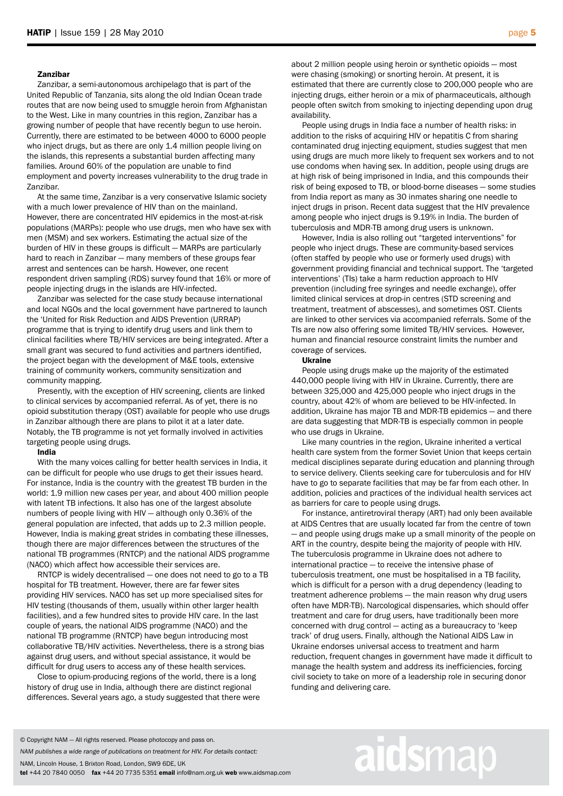#### Zanzibar

 Zanzibar, a semi-autonomous archipelago that is part of the United Republic of Tanzania, sits along the old Indian Ocean trade routes that are now being used to smuggle heroin from Afghanistan to the West. Like in many countries in this region, Zanzibar has a growing number of people that have recently begun to use heroin. Currently, there are estimated to be between 4000 to 6000 people who inject drugs, but as there are only 1.4 million people living on the islands, this represents a substantial burden affecting many families. Around 60% of the population are unable to find employment and poverty increases vulnerability to the drug trade in Zanzibar.

 At the same time, Zanzibar is a very conservative Islamic society with a much lower prevalence of HIV than on the mainland. However, there are concentrated HIV epidemics in the most-at-risk populations (MARPs): people who use drugs, men who have sex with men (MSM) and sex workers. Estimating the actual size of the burden of HIV in these groups is difficult — MARPs are particularly hard to reach in Zanzibar — many members of these groups fear arrest and sentences can be harsh. However, one recent respondent driven sampling (RDS) survey found that 16% or more of people injecting drugs in the islands are HIV-infected.

 Zanzibar was selected for the case study because international and local NGOs and the local government have partnered to launch the 'United for Risk Reduction and AIDS Prevention (URRAP) programme that is trying to identify drug users and link them to clinical facilities where TB/HIV services are being integrated. After a small grant was secured to fund activities and partners identified, the project began with the development of M&E tools, extensive training of community workers, community sensitization and community mapping.

 Presently, with the exception of HIV screening, clients are linked to clinical services by accompanied referral. As of yet, there is no opioid substitution therapy (OST) available for people who use drugs in Zanzibar although there are plans to pilot it at a later date. Notably, the TB programme is not yet formally involved in activities targeting people using drugs.

#### India

 With the many voices calling for better health services in India, it can be difficult for people who use drugs to get their issues heard. For instance, India is the country with the greatest TB burden in the world: 1.9 million new cases per year, and about 400 million people with latent TB infections. It also has one of the largest absolute numbers of people living with HIV — although only 0.36% of the general population are infected, that adds up to 2.3 million people. However, India is making great strides in combating these illnesses, though there are major differences between the structures of the national TB programmes (RNTCP) and the national AIDS programme (NACO) which affect how accessible their services are.

 RNTCP is widely decentralised — one does not need to go to a TB hospital for TB treatment. However, there are far fewer sites providing HIV services. NACO has set up more specialised sites for HIV testing (thousands of them, usually within other larger health facilities), and a few hundred sites to provide HIV care. In the last couple of years, the national AIDS programme (NACO) and the national TB programme (RNTCP) have begun introducing most collaborative TB/HIV activities. Nevertheless, there is a strong bias against drug users, and without special assistance, it would be difficult for drug users to access any of these health services.

 Close to opium-producing regions of the world, there is a long history of drug use in India, although there are distinct regional differences. Several years ago, a study suggested that there were about 2 million people using heroin or synthetic opioids — most were chasing (smoking) or snorting heroin. At present, it is estimated that there are currently close to 200,000 people who are injecting drugs, either heroin or a mix of pharmaceuticals, although people often switch from smoking to injecting depending upon drug availability.

 People using drugs in India face a number of health risks: in addition to the risks of acquiring HIV or hepatitis C from sharing contaminated drug injecting equipment, studies suggest that men using drugs are much more likely to frequent sex workers and to not use condoms when having sex. In addition, people using drugs are at high risk of being imprisoned in India, and this compounds their risk of being exposed to TB, or blood-borne diseases — some studies from India report as many as 30 inmates sharing one needle to inject drugs in prison. Recent data suggest that the HIV prevalence among people who inject drugs is 9.19% in India. The burden of tuberculosis and MDR-TB among drug users is unknown.

 However, India is also rolling out "targeted interventions" for people who inject drugs. These are community-based services (often staffed by people who use or formerly used drugs) with government providing financial and technical support. The 'targeted interventions' (TIs) take a harm reduction approach to HIV prevention (including free syringes and needle exchange), offer limited clinical services at drop-in centres (STD screening and treatment, treatment of abscesses), and sometimes OST. Clients are linked to other services via accompanied referrals. Some of the TIs are now also offering some limited TB/HIV services. However, human and financial resource constraint limits the number and coverage of services.

#### Ukraine

 People using drugs make up the majority of the estimated 440,000 people living with HIV in Ukraine. Currently, there are between 325,000 and 425,000 people who inject drugs in the country, about 42% of whom are believed to be HIV-infected. In addition, Ukraine has major TB and MDR-TB epidemics — and there are data suggesting that MDR-TB is especially common in people who use drugs in Ukraine.

 Like many countries in the region, Ukraine inherited a vertical health care system from the former Soviet Union that keeps certain medical disciplines separate during education and planning through to service delivery. Clients seeking care for tuberculosis and for HIV have to go to separate facilities that may be far from each other. In addition, policies and practices of the individual health services act as barriers for care to people using drugs.

 For instance, antiretroviral therapy (ART) had only been available at AIDS Centres that are usually located far from the centre of town — and people using drugs make up a small minority of the people on ART in the country, despite being the majority of people with HIV. The tuberculosis programme in Ukraine does not adhere to international practice — to receive the intensive phase of tuberculosis treatment, one must be hospitalised in a TB facility, which is difficult for a person with a drug dependency (leading to treatment adherence problems — the main reason why drug users often have MDR-TB). Narcological dispensaries, which should offer treatment and care for drug users, have traditionally been more concerned with drug control — acting as a bureaucracy to 'keep track' of drug users. Finally, although the National AIDS Law in Ukraine endorses universal access to treatment and harm reduction, frequent changes in government have made it difficult to manage the health system and address its inefficiencies, forcing civil society to take on more of a leadership role in securing donor funding and delivering care.

# aidsmap

*NAM publishes a wide range of publications on treatment for HIV. For details contact:*

NAM, Lincoln House, 1 Brixton Road, London, SW9 6DE, UK

<sup>©</sup> Copyright NAM — All rights reserved. Please photocopy and pass on.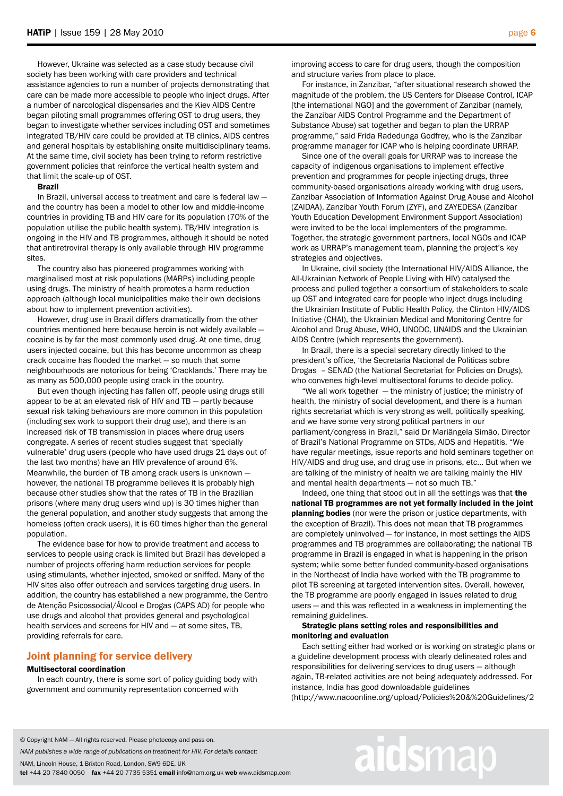However, Ukraine was selected as a case study because civil society has been working with care providers and technical assistance agencies to run a number of projects demonstrating that care can be made more accessible to people who inject drugs. After a number of narcological dispensaries and the Kiev AIDS Centre began piloting small programmes offering OST to drug users, they began to investigate whether services including OST and sometimes integrated TB/HIV care could be provided at TB clinics, AIDS centres and general hospitals by establishing onsite multidisciplinary teams. At the same time, civil society has been trying to reform restrictive government policies that reinforce the vertical health system and that limit the scale-up of OST.

#### Brazil

 In Brazil, universal access to treatment and care is federal law and the country has been a model to other low and middle-income countries in providing TB and HIV care for its population (70% of the population utilise the public health system). TB/HIV integration is ongoing in the HIV and TB programmes, although it should be noted that antiretroviral therapy is only available through HIV programme sites.

 The country also has pioneered programmes working with marginalised most at risk populations (MARPs) including people using drugs. The ministry of health promotes a harm reduction approach (although local municipalities make their own decisions about how to implement prevention activities).

 However, drug use in Brazil differs dramatically from the other countries mentioned here because heroin is not widely available cocaine is by far the most commonly used drug. At one time, drug users injected cocaine, but this has become uncommon as cheap crack cocaine has flooded the market — so much that some neighbourhoods are notorious for being 'Cracklands.' There may be as many as 500,000 people using crack in the country.

 But even though injecting has fallen off, people using drugs still appear to be at an elevated risk of HIV and TB — partly because sexual risk taking behaviours are more common in this population (including sex work to support their drug use), and there is an increased risk of TB transmission in places where drug users congregate. A series of recent studies suggest that 'specially vulnerable' drug users (people who have used drugs 21 days out of the last two months) have an HIV prevalence of around 6%. Meanwhile, the burden of TB among crack users is unknown however, the national TB programme believes it is probably high because other studies show that the rates of TB in the Brazilian prisons (where many drug users wind up) is 30 times higher than the general population, and another study suggests that among the homeless (often crack users), it is 60 times higher than the general population.

 The evidence base for how to provide treatment and access to services to people using crack is limited but Brazil has developed a number of projects offering harm reduction services for people using stimulants, whether injected, smoked or sniffed. Many of the HIV sites also offer outreach and services targeting drug users. In addition, the country has established a new programme, the Centro de Atenção Psicossocial/Álcool e Drogas (CAPS AD) for people who use drugs and alcohol that provides general and psychological health services and screens for HIV and — at some sites, TB, providing referrals for care.

# Joint planning for service delivery

### Multisectoral coordination

 In each country, there is some sort of policy guiding body with government and community representation concerned with

improving access to care for drug users, though the composition and structure varies from place to place.

 For instance, in Zanzibar, "after situational research showed the magnitude of the problem, the US Centers for Disease Control, ICAP [the international NGO] and the government of Zanzibar (namely, the Zanzibar AIDS Control Programme and the Department of Substance Abuse) sat together and began to plan the URRAP programme," said Frida Radedunga Godfrey, who is the Zanzibar programme manager for ICAP who is helping coordinate URRAP.

 Since one of the overall goals for URRAP was to increase the capacity of indigenous organisations to implement effective prevention and programmes for people injecting drugs, three community-based organisations already working with drug users, Zanzibar Association of Information Against Drug Abuse and Alcohol (ZAIDAA), Zanzibar Youth Forum (ZYF), and ZAYEDESA (Zanzibar Youth Education Development Environment Support Association) were invited to be the local implementers of the programme. Together, the strategic government partners, local NGOs and ICAP work as URRAP's management team, planning the project's key strategies and objectives.

 In Ukraine, civil society (the International HIV/AIDS Alliance, the All-Ukrainian Network of People Living with HIV) catalysed the process and pulled together a consortium of stakeholders to scale up OST and integrated care for people who inject drugs including the Ukrainian Institute of Public Health Policy, the Clinton HIV/AIDS Initiative (CHAI), the Ukrainian Medical and Monitoring Centre for Alcohol and Drug Abuse, WHO, UNODC, UNAIDS and the Ukrainian AIDS Centre (which represents the government).

 In Brazil, there is a special secretary directly linked to the president's office, 'the Secretaria Nacional de Politicas sobre Drogas – SENAD (the National Secretariat for Policies on Drugs), who convenes high-level multisectoral forums to decide policy.

 "We all work together — the ministry of justice; the ministry of health, the ministry of social development, and there is a human rights secretariat which is very strong as well, politically speaking, and we have some very strong political partners in our parliament/congress in Brazil," said Dr Mariângela Simão, Director of Brazil's National Programme on STDs, AIDS and Hepatitis. "We have regular meetings, issue reports and hold seminars together on HIV/AIDS and drug use, and drug use in prisons, etc... But when we are talking of the ministry of health we are talking mainly the HIV and mental health departments — not so much TB."

 Indeed, one thing that stood out in all the settings was that the national TB programmes are not yet formally included in the joint planning bodies (nor were the prison or justice departments, with the exception of Brazil). This does not mean that TB programmes are completely uninvolved — for instance, in most settings the AIDS programmes and TB programmes are collaborating; the national TB programme in Brazil is engaged in what is happening in the prison system; while some better funded community-based organisations in the Northeast of India have worked with the TB programme to pilot TB screening at targeted intervention sites. Overall, however, the TB programme are poorly engaged in issues related to drug users — and this was reflected in a weakness in implementing the remaining guidelines.

## Strategic plans setting roles and responsibilities and monitoring and evaluation

 Each setting either had worked or is working on strategic plans or a guideline development process with clearly delineated roles and responsibilities for delivering services to drug users — although again, TB-related activities are not being adequately addressed. For instance, India has good downloadable guidelines (http://www.nacoonline.org/upload/Policies%20&%20Guidelines/2

© Copyright NAM — All rights reserved. Please photocopy and pass on.

*NAM publishes a wide range of publications on treatment for HIV. For details contact:*

NAM, Lincoln House, 1 Brixton Road, London, SW9 6DE, UK

tel +44 20 7840 0050 fax +44 20 7735 5351 email info@nam.org.uk web www.aidsmap.com

# aidsmap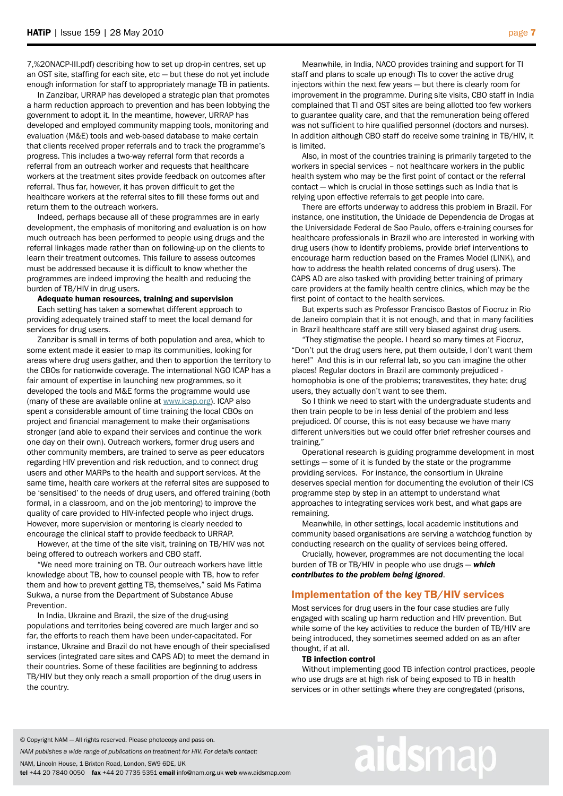7,%20NACP-III.pdf) describing how to set up drop-in centres, set up an OST site, staffing for each site, etc — but these do not yet include enough information for staff to appropriately manage TB in patients.

 In Zanzibar, URRAP has developed a strategic plan that promotes a harm reduction approach to prevention and has been lobbying the government to adopt it. In the meantime, however, URRAP has developed and employed community mapping tools, monitoring and evaluation (M&E) tools and web-based database to make certain that clients received proper referrals and to track the programme's progress. This includes a two-way referral form that records a referral from an outreach worker and requests that healthcare workers at the treatment sites provide feedback on outcomes after referral. Thus far, however, it has proven difficult to get the healthcare workers at the referral sites to fill these forms out and return them to the outreach workers.

 Indeed, perhaps because all of these programmes are in early development, the emphasis of monitoring and evaluation is on how much outreach has been performed to people using drugs and the referral linkages made rather than on following-up on the clients to learn their treatment outcomes. This failure to assess outcomes must be addressed because it is difficult to know whether the programmes are indeed improving the health and reducing the burden of TB/HIV in drug users.

Adequate human resources, training and supervision

 Each setting has taken a somewhat different approach to providing adequately trained staff to meet the local demand for services for drug users.

 Zanzibar is small in terms of both population and area, which to some extent made it easier to map its communities, looking for areas where drug users gather, and then to apportion the territory to the CBOs for nationwide coverage. The international NGO ICAP has a fair amount of expertise in launching new programmes, so it developed the tools and M&E forms the programme would use (many of these are available online at [www.icap.org\)](http://www.icap.org/). ICAP also spent a considerable amount of time training the local CBOs on project and financial management to make their organisations stronger (and able to expand their services and continue the work one day on their own). Outreach workers, former drug users and other community members, are trained to serve as peer educators regarding HIV prevention and risk reduction, and to connect drug users and other MARPs to the health and support services. At the same time, health care workers at the referral sites are supposed to be 'sensitised' to the needs of drug users, and offered training (both formal, in a classroom, and on the job mentoring) to improve the quality of care provided to HIV-infected people who inject drugs. However, more supervision or mentoring is clearly needed to encourage the clinical staff to provide feedback to URRAP.

 However, at the time of the site visit, training on TB/HIV was not being offered to outreach workers and CBO staff.

 "We need more training on TB. Our outreach workers have little knowledge about TB, how to counsel people with TB, how to refer them and how to prevent getting TB, themselves," said Ms Fatima Sukwa, a nurse from the Department of Substance Abuse Prevention.

 In India, Ukraine and Brazil, the size of the drug-using populations and territories being covered are much larger and so far, the efforts to reach them have been under-capacitated. For instance, Ukraine and Brazil do not have enough of their specialised services (integrated care sites and CAPS AD) to meet the demand in their countries. Some of these facilities are beginning to address TB/HIV but they only reach a small proportion of the drug users in the country.

 Meanwhile, in India, NACO provides training and support for TI staff and plans to scale up enough TIs to cover the active drug injectors within the next few years — but there is clearly room for improvement in the programme. During site visits, CBO staff in India complained that TI and OST sites are being allotted too few workers to guarantee quality care, and that the remuneration being offered was not sufficient to hire qualified personnel (doctors and nurses). In addition although CBO staff do receive some training in TB/HIV, it is limited.

 Also, in most of the countries training is primarily targeted to the workers in special services – not healthcare workers in the public health system who may be the first point of contact or the referral contact — which is crucial in those settings such as India that is relying upon effective referrals to get people into care.

 There are efforts underway to address this problem in Brazil. For instance, one institution, the Unidade de Dependencia de Drogas at the Universidade Federal de Sao Paulo, offers e-training courses for healthcare professionals in Brazil who are interested in working with drug users (how to identify problems, provide brief interventions to encourage harm reduction based on the Frames Model (LINK), and how to address the health related concerns of drug users). The CAPS AD are also tasked with providing better training of primary care providers at the family health centre clinics, which may be the first point of contact to the health services.

 But experts such as Professor Francisco Bastos of Fiocruz in Rio de Janeiro complain that it is not enough, and that in many facilities in Brazil healthcare staff are still very biased against drug users.

 "They stigmatise the people. I heard so many times at Fiocruz, "Don't put the drug users here, put them outside, I don't want them here!" And this is in our referral lab, so you can imagine the other places! Regular doctors in Brazil are commonly prejudiced homophobia is one of the problems; transvestites, they hate; drug users, they actually don't want to see them.

 So I think we need to start with the undergraduate students and then train people to be in less denial of the problem and less prejudiced. Of course, this is not easy because we have many different universities but we could offer brief refresher courses and training."

 Operational research is guiding programme development in most settings — some of it is funded by the state or the programme providing services. For instance, the consortium in Ukraine deserves special mention for documenting the evolution of their ICS programme step by step in an attempt to understand what approaches to integrating services work best, and what gaps are remaining.

 Meanwhile, in other settings, local academic institutions and community based organisations are serving a watchdog function by conducting research on the quality of services being offered.

 Crucially, however, programmes are not documenting the local burden of TB or TB/HIV in people who use drugs — *which contributes to the problem being ignored*.

# Implementation of the key TB/HIV services

Most services for drug users in the four case studies are fully engaged with scaling up harm reduction and HIV prevention. But while some of the key activities to reduce the burden of TB/HIV are being introduced, they sometimes seemed added on as an after thought, if at all.

#### TB infection control

 Without implementing good TB infection control practices, people who use drugs are at high risk of being exposed to TB in health services or in other settings where they are congregated (prisons,

#### © Copyright NAM — All rights reserved. Please photocopy and pass on.

*NAM publishes a wide range of publications on treatment for HIV. For details contact:*

NAM, Lincoln House, 1 Brixton Road, London, SW9 6DE, UK

tel +44 20 7840 0050 fax +44 20 7735 5351 email info@nam.org.uk web www.aidsmap.com

# aidsmap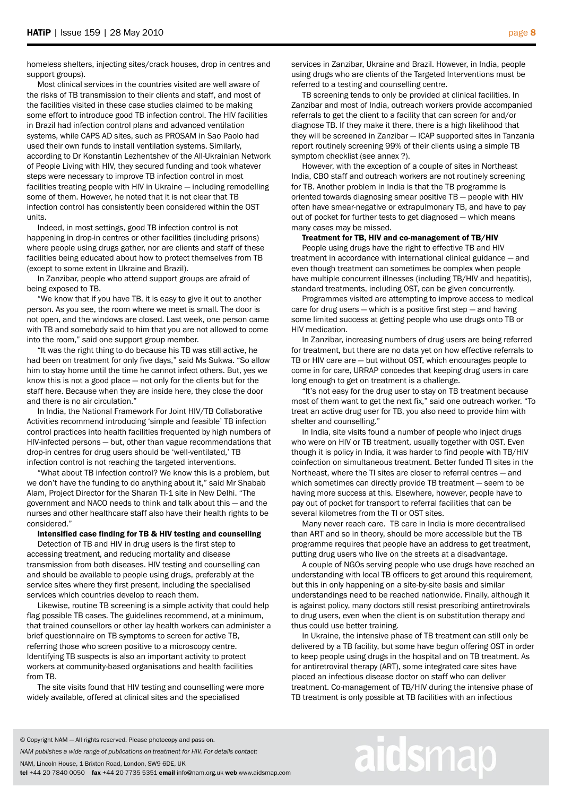Most clinical services in the countries visited are well aware of the risks of TB transmission to their clients and staff, and most of the facilities visited in these case studies claimed to be making some effort to introduce good TB infection control. The HIV facilities in Brazil had infection control plans and advanced ventilation systems, while CAPS AD sites, such as PROSAM in Sao Paolo had used their own funds to install ventilation systems. Similarly, according to Dr Konstantin Lezhentshev of the All-Ukrainian Network of People Living with HIV, they secured funding and took whatever steps were necessary to improve TB infection control in most facilities treating people with HIV in Ukraine — including remodelling some of them. However, he noted that it is not clear that TB infection control has consistently been considered within the OST units.

 Indeed, in most settings, good TB infection control is not happening in drop-in centres or other facilities (including prisons) where people using drugs gather, nor are clients and staff of these facilities being educated about how to protect themselves from TB (except to some extent in Ukraine and Brazil).

 In Zanzibar, people who attend support groups are afraid of being exposed to TB.

 "We know that if you have TB, it is easy to give it out to another person. As you see, the room where we meet is small. The door is not open, and the windows are closed. Last week, one person came with TB and somebody said to him that you are not allowed to come into the room," said one support group member.

 "It was the right thing to do because his TB was still active, he had been on treatment for only five days," said Ms Sukwa. "So allow him to stay home until the time he cannot infect others. But, yes we know this is not a good place — not only for the clients but for the staff here. Because when they are inside here, they close the door and there is no air circulation."

 In India, the National Framework For Joint HIV/TB Collaborative Activities recommend introducing 'simple and feasible' TB infection control practices into health facilities frequented by high numbers of HIV-infected persons — but, other than vague recommendations that drop-in centres for drug users should be 'well-ventilated,' TB infection control is not reaching the targeted interventions.

 "What about TB infection control? We know this is a problem, but we don't have the funding to do anything about it," said Mr Shabab Alam, Project Director for the Sharan TI-1 site in New Delhi. "The government and NACO needs to think and talk about this — and the nurses and other healthcare staff also have their health rights to be considered."

## Intensified case finding for TB & HIV testing and counselling

 Detection of TB and HIV in drug users is the first step to accessing treatment, and reducing mortality and disease transmission from both diseases. HIV testing and counselling can and should be available to people using drugs, preferably at the service sites where they first present, including the specialised services which countries develop to reach them.

 Likewise, routine TB screening is a simple activity that could help flag possible TB cases. The guidelines recommend, at a minimum, that trained counsellors or other lay health workers can administer a brief questionnaire on TB symptoms to screen for active TB, referring those who screen positive to a microscopy centre. Identifying TB suspects is also an important activity to protect workers at community-based organisations and health facilities from TB.

 The site visits found that HIV testing and counselling were more widely available, offered at clinical sites and the specialised

services in Zanzibar, Ukraine and Brazil. However, in India, people using drugs who are clients of the Targeted Interventions must be referred to a testing and counselling centre.

 TB screening tends to only be provided at clinical facilities. In Zanzibar and most of India, outreach workers provide accompanied referrals to get the client to a facility that can screen for and/or diagnose TB. If they make it there, there is a high likelihood that they will be screened in Zanzibar — ICAP supported sites in Tanzania report routinely screening 99% of their clients using a simple TB symptom checklist (see annex ?).

 However, with the exception of a couple of sites in Northeast India, CBO staff and outreach workers are not routinely screening for TB. Another problem in India is that the TB programme is oriented towards diagnosing smear positive TB — people with HIV often have smear-negative or extrapulmonary TB, and have to pay out of pocket for further tests to get diagnosed — which means many cases may be missed.

#### Treatment for TB, HIV and co-management of TB/HIV

 People using drugs have the right to effective TB and HIV treatment in accordance with international clinical guidance — and even though treatment can sometimes be complex when people have multiple concurrent illnesses (including TB/HIV and hepatitis), standard treatments, including OST, can be given concurrently.

 Programmes visited are attempting to improve access to medical care for drug users — which is a positive first step — and having some limited success at getting people who use drugs onto TB or HIV medication.

 In Zanzibar, increasing numbers of drug users are being referred for treatment, but there are no data yet on how effective referrals to TB or HIV care are — but without OST, which encourages people to come in for care, URRAP concedes that keeping drug users in care long enough to get on treatment is a challenge.

 "It's not easy for the drug user to stay on TB treatment because most of them want to get the next fix," said one outreach worker. "To treat an active drug user for TB, you also need to provide him with shelter and counselling."

 In India, site visits found a number of people who inject drugs who were on HIV or TB treatment, usually together with OST. Even though it is policy in India, it was harder to find people with TB/HIV coinfection on simultaneous treatment. Better funded TI sites in the Northeast, where the TI sites are closer to referral centres — and which sometimes can directly provide TB treatment — seem to be having more success at this. Elsewhere, however, people have to pay out of pocket for transport to referral facilities that can be several kilometres from the TI or OST sites.

 Many never reach care. TB care in India is more decentralised than ART and so in theory, should be more accessible but the TB programme requires that people have an address to get treatment, putting drug users who live on the streets at a disadvantage.

 A couple of NGOs serving people who use drugs have reached an understanding with local TB officers to get around this requirement, but this in only happening on a site-by-site basis and similar understandings need to be reached nationwide. Finally, although it is against policy, many doctors still resist prescribing antiretrovirals to drug users, even when the client is on substitution therapy and thus could use better training.

 In Ukraine, the intensive phase of TB treatment can still only be delivered by a TB facility, but some have begun offering OST in order to keep people using drugs in the hospital and on TB treatment. As for antiretroviral therapy (ART), some integrated care sites have placed an infectious disease doctor on staff who can deliver treatment. Co-management of TB/HIV during the intensive phase of TB treatment is only possible at TB facilities with an infectious

#### © Copyright NAM — All rights reserved. Please photocopy and pass on.

*NAM publishes a wide range of publications on treatment for HIV. For details contact:*

NAM, Lincoln House, 1 Brixton Road, London, SW9 6DE, UK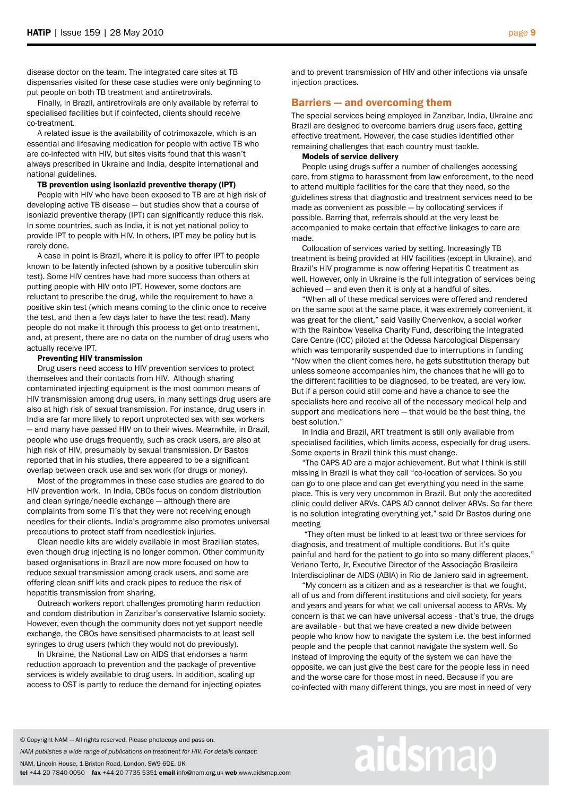disease doctor on the team. The integrated care sites at TB dispensaries visited for these case studies were only beginning to put people on both TB treatment and antiretrovirals.

 Finally, in Brazil, antiretrovirals are only available by referral to specialised facilities but if coinfected, clients should receive co-treatment.

 A related issue is the availability of cotrimoxazole, which is an essential and lifesaving medication for people with active TB who are co-infected with HIV, but sites visits found that this wasn't always prescribed in Ukraine and India, despite international and national guidelines.

TB prevention using isoniazid preventive therapy (IPT)

 People with HIV who have been exposed to TB are at high risk of developing active TB disease — but studies show that a course of isoniazid preventive therapy (IPT) can significantly reduce this risk. In some countries, such as India, it is not yet national policy to provide IPT to people with HIV. In others, IPT may be policy but is rarely done.

 A case in point is Brazil, where it is policy to offer IPT to people known to be latently infected (shown by a positive tuberculin skin test). Some HIV centres have had more success than others at putting people with HIV onto IPT. However, some doctors are reluctant to prescribe the drug, while the requirement to have a positive skin test (which means coming to the clinic once to receive the test, and then a few days later to have the test read). Many people do not make it through this process to get onto treatment, and, at present, there are no data on the number of drug users who actually receive IPT.

### Preventing HIV transmission

 Drug users need access to HIV prevention services to protect themselves and their contacts from HIV. Although sharing contaminated injecting equipment is the most common means of HIV transmission among drug users, in many settings drug users are also at high risk of sexual transmission. For instance, drug users in India are far more likely to report unprotected sex with sex workers — and many have passed HIV on to their wives. Meanwhile, in Brazil, people who use drugs frequently, such as crack users, are also at high risk of HIV, presumably by sexual transmission. Dr Bastos reported that in his studies, there appeared to be a significant overlap between crack use and sex work (for drugs or money).

 Most of the programmes in these case studies are geared to do HIV prevention work. In India, CBOs focus on condom distribution and clean syringe/needle exchange — although there are complaints from some TI's that they were not receiving enough needles for their clients. India's programme also promotes universal precautions to protect staff from needlestick injuries.

 Clean needle kits are widely available in most Brazilian states, even though drug injecting is no longer common. Other community based organisations in Brazil are now more focused on how to reduce sexual transmission among crack users, and some are offering clean sniff kits and crack pipes to reduce the risk of hepatitis transmission from sharing.

 Outreach workers report challenges promoting harm reduction and condom distribution in Zanzibar's conservative Islamic society. However, even though the community does not yet support needle exchange, the CBOs have sensitised pharmacists to at least sell syringes to drug users (which they would not do previously).

 In Ukraine, the National Law on AIDS that endorses a harm reduction approach to prevention and the package of preventive services is widely available to drug users. In addition, scaling up access to OST is partly to reduce the demand for injecting opiates and to prevent transmission of HIV and other infections via unsafe injection practices.

# Barriers — and overcoming them

The special services being employed in Zanzibar, India, Ukraine and Brazil are designed to overcome barriers drug users face, getting effective treatment. However, the case studies identified other remaining challenges that each country must tackle.

#### Models of service delivery

 People using drugs suffer a number of challenges accessing care, from stigma to harassment from law enforcement, to the need to attend multiple facilities for the care that they need, so the guidelines stress that diagnostic and treatment services need to be made as convenient as possible — by collocating services if possible. Barring that, referrals should at the very least be accompanied to make certain that effective linkages to care are made.

 Collocation of services varied by setting. Increasingly TB treatment is being provided at HIV facilities (except in Ukraine), and Brazil's HIV programme is now offering Hepatitis C treatment as well. However, only in Ukraine is the full integration of services being achieved — and even then it is only at a handful of sites.

 "When all of these medical services were offered and rendered on the same spot at the same place, it was extremely convenient, it was great for the client," said Vasiliy Chervenkov, a social worker with the Rainbow Veselka Charity Fund, describing the Integrated Care Centre (ICC) piloted at the Odessa Narcological Dispensary which was temporarily suspended due to interruptions in funding "Now when the client comes here, he gets substitution therapy but unless someone accompanies him, the chances that he will go to the different facilities to be diagnosed, to be treated, are very low. But if a person could still come and have a chance to see the specialists here and receive all of the necessary medical help and support and medications here — that would be the best thing, the best solution."

 In India and Brazil, ART treatment is still only available from specialised facilities, which limits access, especially for drug users. Some experts in Brazil think this must change.

 "The CAPS AD are a major achievement. But what I think is still missing in Brazil is what they call "co-location of services. So you can go to one place and can get everything you need in the same place. This is very very uncommon in Brazil. But only the accredited clinic could deliver ARVs. CAPS AD cannot deliver ARVs. So far there is no solution integrating everything yet," said Dr Bastos during one meeting

 "They often must be linked to at least two or three services for diagnosis, and treatment of multiple conditions. But it's quite painful and hard for the patient to go into so many different places," Veriano Terto, Jr, Executive Director of the Associação Brasileira Interdisciplinar de AIDS (ABIA) in Rio de Janiero said in agreement.

 "My concern as a citizen and as a researcher is that we fought, all of us and from different institutions and civil society, for years and years and years for what we call universal access to ARVs. My concern is that we can have universal access - that's true, the drugs are available - but that we have created a new divide between people who know how to navigate the system i.e. the best informed people and the people that cannot navigate the system well. So instead of improving the equity of the system we can have the opposite, we can just give the best care for the people less in need and the worse care for those most in need. Because if you are co-infected with many different things, you are most in need of very

#### © Copyright NAM — All rights reserved. Please photocopy and pass on.

*NAM publishes a wide range of publications on treatment for HIV. For details contact:*

NAM, Lincoln House, 1 Brixton Road, London, SW9 6DE, UK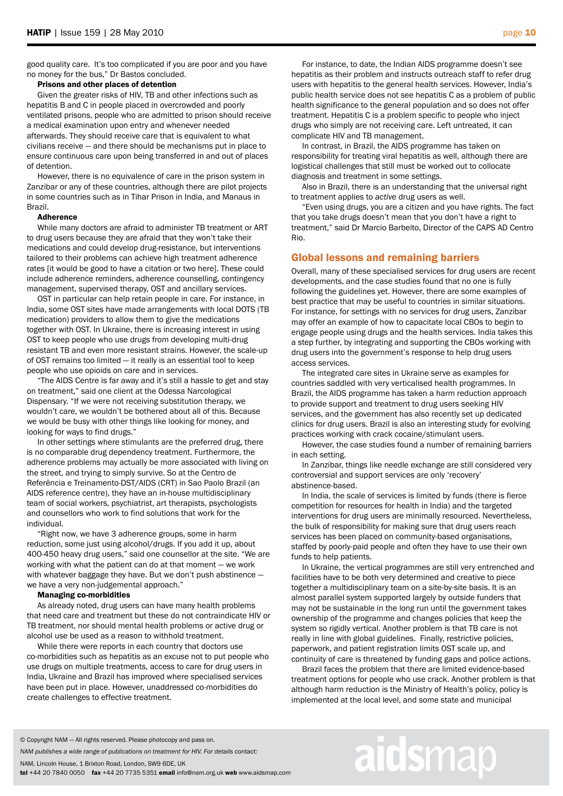good quality care. It's too complicated if you are poor and you have no money for the bus," Dr Bastos concluded.

## Prisons and other places of detention

 Given the greater risks of HIV, TB and other infections such as hepatitis B and C in people placed in overcrowded and poorly ventilated prisons, people who are admitted to prison should receive a medical examination upon entry and whenever needed afterwards. They should receive care that is equivalent to what civilians receive — and there should be mechanisms put in place to ensure continuous care upon being transferred in and out of places of detention.

 However, there is no equivalence of care in the prison system in Zanzibar or any of these countries, although there are pilot projects in some countries such as in Tihar Prison in India, and Manaus in Brazil.

#### Adherence

 While many doctors are afraid to administer TB treatment or ART to drug users because they are afraid that they won't take their medications and could develop drug-resistance, but interventions tailored to their problems can achieve high treatment adherence rates [it would be good to have a citation or two here]. These could include adherence reminders, adherence counselling, contingency management, supervised therapy, OST and ancillary services.

 OST in particular can help retain people in care. For instance, in India, some OST sites have made arrangements with local DOTS (TB medication) providers to allow them to give the medications together with OST. In Ukraine, there is increasing interest in using OST to keep people who use drugs from developing multi-drug resistant TB and even more resistant strains. However, the scale-up of OST remains too limited — it really is an essential tool to keep people who use opioids on care and in services.

 "The AIDS Centre is far away and it's still a hassle to get and stay on treatment," said one client at the Odessa Narcological Dispensary. "If we were not receiving substitution therapy, we wouldn't care, we wouldn't be bothered about all of this. Because we would be busy with other things like looking for money, and looking for ways to find drugs."

 In other settings where stimulants are the preferred drug, there is no comparable drug dependency treatment. Furthermore, the adherence problems may actually be more associated with living on the street, and trying to simply survive. So at the Centro de Referência e Treinamento-DST/AIDS (CRT) in Sao Paolo Brazil (an AIDS reference centre), they have an in-house multidisciplinary team of social workers, psychiatrist, art therapists, psychologists and counsellors who work to find solutions that work for the individual.

 "Right now, we have 3 adherence groups, some in harm reduction, some just using alcohol/drugs. If you add it up, about 400-450 heavy drug users," said one counsellor at the site. "We are working with what the patient can do at that moment — we work with whatever baggage they have. But we don't push abstinence we have a very non-judgemental approach."

# Managing co-morbidities

 As already noted, drug users can have many health problems that need care and treatment but these do not contraindicate HIV or TB treatment, nor should mental health problems or active drug or alcohol use be used as a reason to withhold treatment.

 While there were reports in each country that doctors use co-morbidities such as hepatitis as an excuse not to put people who use drugs on multiple treatments, access to care for drug users in India, Ukraine and Brazil has improved where specialised services have been put in place. However, unaddressed co-morbidities do create challenges to effective treatment.

 For instance, to date, the Indian AIDS programme doesn't see hepatitis as their problem and instructs outreach staff to refer drug users with hepatitis to the general health services. However, India's public health service does not see hepatitis C as a problem of public health significance to the general population and so does not offer treatment. Hepatitis C is a problem specific to people who inject drugs who simply are not receiving care. Left untreated, it can complicate HIV and TB management.

 In contrast, in Brazil, the AIDS programme has taken on responsibility for treating viral hepatitis as well, although there are logistical challenges that still must be worked out to collocate diagnosis and treatment in some settings.

 Also in Brazil, there is an understanding that the universal right to treatment applies to *active* drug users as well.

 "Even using drugs, you are a citizen and you have rights. The fact that you take drugs doesn't mean that you don't have a right to treatment," said Dr Marcio Barbeito, Director of the CAPS AD Centro Rio.

## Global lessons and remaining barriers

Overall, many of these specialised services for drug users are recent developments, and the case studies found that no one is fully following the guidelines yet. However, there are some examples of best practice that may be useful to countries in similar situations. For instance, for settings with no services for drug users, Zanzibar may offer an example of how to capacitate local CBOs to begin to engage people using drugs and the health services. India takes this a step further, by integrating and supporting the CBOs working with drug users into the government's response to help drug users access services.

 The integrated care sites in Ukraine serve as examples for countries saddled with very verticalised health programmes. In Brazil, the AIDS programme has taken a harm reduction approach to provide support and treatment to drug users seeking HIV services, and the government has also recently set up dedicated clinics for drug users. Brazil is also an interesting study for evolving practices working with crack cocaine/stimulant users.

 However, the case studies found a number of remaining barriers in each setting.

 In Zanzibar, things like needle exchange are still considered very controversial and support services are only 'recovery' abstinence-based.

 In India, the scale of services is limited by funds (there is fierce competition for resources for health in India) and the targeted interventions for drug users are minimally resourced. Nevertheless, the bulk of responsibility for making sure that drug users reach services has been placed on community-based organisations, staffed by poorly-paid people and often they have to use their own funds to help patients.

 In Ukraine, the vertical programmes are still very entrenched and facilities have to be both very determined and creative to piece together a multidisciplinary team on a site-by-site basis. It is an almost parallel system supported largely by outside funders that may not be sustainable in the long run until the government takes ownership of the programme and changes policies that keep the system so rigidly vertical. Another problem is that TB care is not really in line with global guidelines. Finally, restrictive policies, paperwork, and patient registration limits OST scale up, and continuity of care is threatened by funding gaps and police actions.

 Brazil faces the problem that there are limited evidence-based treatment options for people who use crack. Another problem is that although harm reduction is the Ministry of Health's policy, policy is implemented at the local level, and some state and municipal

© Copyright NAM — All rights reserved. Please photocopy and pass on.

*NAM publishes a wide range of publications on treatment for HIV. For details contact:*

NAM, Lincoln House, 1 Brixton Road, London, SW9 6DE, UK